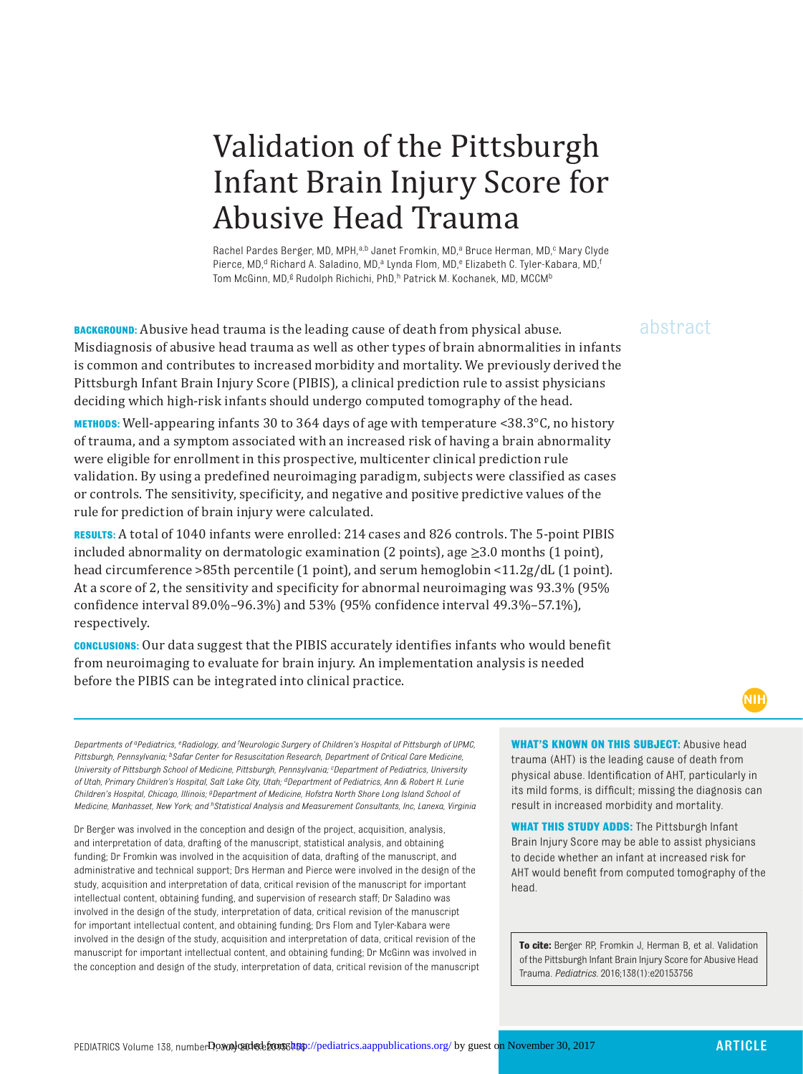## Validation of the Pittsburgh Infant Brain Injury Score for Abusive Head Trauma

Rachel Pardes Berger, MD, MPH,<sup>a,b</sup> Janet Fromkin, MD,<sup>a</sup> Bruce Herman, MD,<sup>c</sup> Mary Clyde Pierce, MD,<sup>d</sup> Richard A. Saladino, MD,<sup>a</sup> Lynda Flom, MD,<sup>e</sup> Elizabeth C. Tyler-Kabara, MD,<sup>f</sup> Tom McGinn, MD,<sup>§</sup> Rudolph Richichi, PhD,<sup>h</sup> Patrick M. Kochanek, MD, MCCM<sup>b</sup>

**BACKGROUND:** Abusive head trauma is the leading cause of death from physical abuse. abstract Misdiagnosis of abusive head trauma as well as other types of brain abnormalities in infants is common and contributes to increased morbidity and mortality. We previously derived the Pittsburgh Infant Brain Injury Score (PIBIS), a clinical prediction rule to assist physicians deciding which high-risk infants should undergo computed tomography of the head.

**METHODS:** Well-appearing infants 30 to 364 days of age with temperature <38.3°C, no history of trauma, and a symptom associated with an increased risk of having a brain abnormality were eligible for enrollment in this prospective, multicenter clinical prediction rule validation. By using a predefined neuroimaging paradigm, subjects were classified as cases or controls. The sensitivity, specificity, and negative and positive predictive values of the rule for prediction of brain injury were calculated.

**RESULTS:** A total of 1040 infants were enrolled: 214 cases and 826 controls. The 5-point PIBIS included abnormality on dermatologic examination (2 points), age  $\geq$ 3.0 months (1 point), head circumference >85th percentile (1 point), and serum hemoglobin <11.2g/dL (1 point). At a score of 2, the sensitivity and specificity for abnormal neuroimaging was 93.3% (95% confidence interval 89.0%–96.3%) and 53% (95% confidence interval 49.3%–57.1%), respectively.

**CONCLUSIONS:** Our data suggest that the PIBIS accurately identifies infants who would benefit from neuroimaging to evaluate for brain injury. An implementation analysis is needed before the PIBIS can be integrated into clinical practice.

**WHAT'S KNOWN ON THIS SUBJECT:** Abusive head trauma (AHT) is the leading cause of death from physical abuse. Identification of AHT, particularly in its mild forms, is difficult; missing the diagnosis can result in increased morbidity and mortality.

**WHAT THIS STUDY ADDS:** The Pittsburgh Infant Brain Injury Score may be able to assist physicians to decide whether an infant at increased risk for AHT would benefit from computed tomography of the head.

**To cite:** Berger RP, Fromkin J, Herman B, et al. Validation of the Pittsburgh Infant Brain Injury Score for Abusive Head Trauma. *Pediatrics.* 2016;138(1):e20153756

 *Departments of aPediatrics, eRadiology, and f Neurologic Surgery of Children's Hospital of Pittsburgh of UPMC, Pittsburgh, Pennsylvania; bSafar Center for Resuscitation Research, Department of Critical Care Medicine, University of Pittsburgh School of Medicine, Pittsburgh, Pennsylvania; c Department of Pediatrics, University of Utah, Primary Children's Hospital, Salt Lake City, Utah; dDepartment of Pediatrics, Ann & Robert H. Lurie Children's Hospital, Chicago, Illinois; gDepartment of Medicine, Hofstra North Shore Long Island School of Medicine, Manhasset, New York; and hStatistical Analysis and Measurement Consultants, Inc, Lanexa, Virginia*

Dr Berger was involved in the conception and design of the project, acquisition, analysis, and interpretation of data, drafting of the manuscript, statistical analysis, and obtaining funding; Dr Fromkin was involved in the acquisition of data, drafting of the manuscript, and administrative and technical support; Drs Herman and Pierce were involved in the design of the study, acquisition and interpretation of data, critical revision of the manuscript for important intellectual content, obtaining funding, and supervision of research staff; Dr Saladino was involved in the design of the study, interpretation of data, critical revision of the manuscript for important intellectual content, and obtaining funding; Drs Flom and Tyler-Kabara were involved in the design of the study, acquisition and interpretation of data, critical revision of the manuscript for important intellectual content, and obtaining funding; Dr McGinn was involved in the conception and design of the study, interpretation of data, critical revision of the manuscript NIH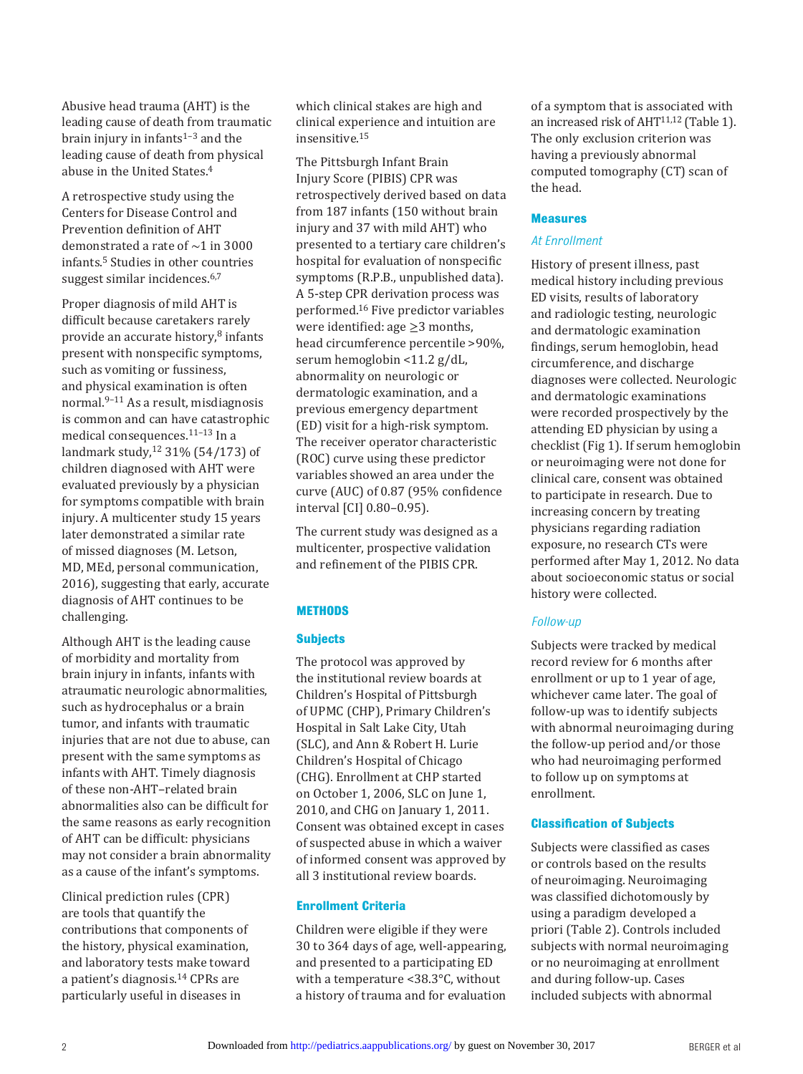Abusive head trauma (AHT) is the leading cause of death from traumatic brain injury in infants $1-3$  and the leading cause of death from physical abuse in the United States.4

A retrospective study using the Centers for Disease Control and Prevention definition of AHT demonstrated a rate of ∼1 in 3000 infants.5 Studies in other countries suggest similar incidences. $6,7$ 

Proper diagnosis of mild AHT is difficult because caretakers rarely provide an accurate history,<sup>8</sup> infants present with nonspecific symptoms, such as vomiting or fussiness, and physical examination is often normal.9–11 As a result, misdiagnosis is common and can have catastrophic medical consequences.11–13 In a landmark study,<sup>12</sup> 31% (54/173) of children diagnosed with AHT were evaluated previously by a physician for symptoms compatible with brain injury. A multicenter study 15 years later demonstrated a similar rate of missed diagnoses (M. Letson, MD, MEd, personal communication, 2016), suggesting that early, accurate diagnosis of AHT continues to be challenging.

Although AHT is the leading cause of morbidity and mortality from brain injury in infants, infants with atraumatic neurologic abnormalities, such as hydrocephalus or a brain tumor, and infants with traumatic injuries that are not due to abuse, can present with the same symptoms as infants with AHT. Timely diagnosis of these non-AHT–related brain abnormalities also can be difficult for the same reasons as early recognition of AHT can be difficult: physicians may not consider a brain abnormality as a cause of the infant's symptoms.

Clinical prediction rules (CPR) are tools that quantify the contributions that components of the history, physical examination, and laboratory tests make toward a patient's diagnosis.14 CPRs are particularly useful in diseases in

which clinical stakes are high and clinical experience and intuition are insensitive.15

The Pittsburgh Infant Brain Injury Score (PIBIS) CPR was retrospectively derived based on data from 187 infants (150 without brain injury and 37 with mild AHT) who presented to a tertiary care children's hospital for evaluation of nonspecific symptoms (R.P.B., unpublished data). A 5-step CPR derivation process was performed.16 Five predictor variables were identified: age  $\geq$ 3 months, head circumference percentile >90%, serum hemoglobin <11.2 g/dL, abnormality on neurologic or dermatologic examination, and a previous emergency department (ED) visit for a high-risk symptom. The receiver operator characteristic (ROC) curve using these predictor variables showed an area under the curve (AUC) of 0.87 (95% confidence interval [CI] 0.80–0.95).

The current study was designed as a multicenter, prospective validation and refinement of the PIBIS CPR.

#### **METHODS**

#### **Subjects**

The protocol was approved by the institutional review boards at Children's Hospital of Pittsburgh of UPMC (CHP), Primary Children's Hospital in Salt Lake City, Utah (SLC), and Ann & Robert H. Lurie Children's Hospital of Chicago (CHG). Enrollment at CHP started on October 1, 2006, SLC on June 1, 2010, and CHG on January 1, 2011. Consent was obtained except in cases of suspected abuse in which a waiver of informed consent was approved by all 3 institutional review boards.

#### **Enrollment Criteria**

Children were eligible if they were 30 to 364 days of age, well-appearing, and presented to a participating ED with a temperature <38.3°C, without a history of trauma and for evaluation of a symptom that is associated with an increased risk of AHT<sup>11,12</sup> (Table 1). The only exclusion criterion was having a previously abnormal computed tomography (CT) scan of the head.

#### **Measures**

#### *At Enrollment*

History of present illness, past medical history including previous ED visits, results of laboratory and radiologic testing, neurologic and dermatologic examination findings, serum hemoglobin, head circumference, and discharge diagnoses were collected. Neurologic and dermatologic examinations were recorded prospectively by the attending ED physician by using a checklist (Fig 1). If serum hemoglobin or neuroimaging were not done for clinical care, consent was obtained to participate in research. Due to increasing concern by treating physicians regarding radiation exposure, no research CTs were performed after May 1, 2012. No data about socioeconomic status or social history were collected.

#### *Follow-up*

Subjects were tracked by medical record review for 6 months after enrollment or up to 1 year of age, whichever came later. The goal of follow-up was to identify subjects with abnormal neuroimaging during the follow-up period and/or those who had neuroimaging performed to follow up on symptoms at enrollment.

#### **Classifi cation of Subjects**

Subjects were classified as cases or controls based on the results of neuroimaging. Neuroimaging was classified dichotomously by using a paradigm developed a priori (Table 2). Controls included subjects with normal neuroimaging or no neuroimaging at enrollment and during follow-up. Cases included subjects with abnormal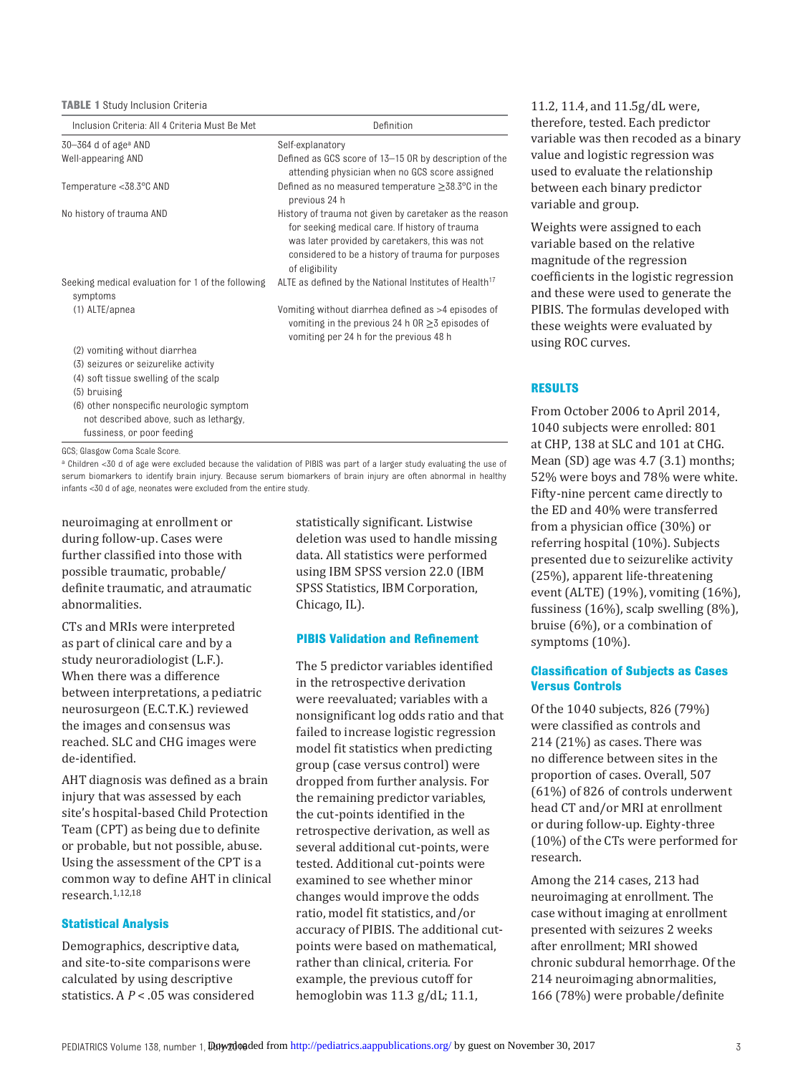**TABLE 1** Study Inclusion Criteria

| Inclusion Criteria: All 4 Criteria Must Be Met                                                                                 | Definition                                                                                                                                                                                                                        |
|--------------------------------------------------------------------------------------------------------------------------------|-----------------------------------------------------------------------------------------------------------------------------------------------------------------------------------------------------------------------------------|
| $30 - 364$ d of age <sup>a</sup> AND                                                                                           | Self-explanatory                                                                                                                                                                                                                  |
| Well-appearing AND                                                                                                             | Defined as GCS score of 13-15 OR by description of the<br>attending physician when no GCS score assigned                                                                                                                          |
| Temperature <38.3°C AND                                                                                                        | Defined as no measured temperature $\geq$ 38.3 $\degree$ C in the<br>previous 24 h                                                                                                                                                |
| No history of trauma AND                                                                                                       | History of trauma not given by caretaker as the reason<br>for seeking medical care. If history of trauma<br>was later provided by caretakers, this was not<br>considered to be a history of trauma for purposes<br>of eligibility |
| Seeking medical evaluation for 1 of the following<br>symptoms                                                                  | ALTE as defined by the National Institutes of Health <sup>17</sup>                                                                                                                                                                |
| (1) ALTE/apnea                                                                                                                 | Vomiting without diarrhea defined as >4 episodes of<br>vomiting in the previous 24 h $OR \geq 3$ episodes of<br>vomiting per 24 h for the previous 48 h                                                                           |
| (2) vomiting without diarrhea<br>(3) seizures or seizurelike activity<br>(4) soft tissue swelling of the scalp<br>(5) bruising |                                                                                                                                                                                                                                   |
| (6) other nonspecific neurologic symptom<br>not described above, such as lethargy,<br>fussiness, or poor feeding               |                                                                                                                                                                                                                                   |

11.2, 11.4, and 11.5g/dL were, therefore, tested. Each predictor variable was then recoded as a binary value and logistic regression was used to evaluate the relationship between each binary predictor variable and group.

Weights were assigned to each variable based on the relative magnitude of the regression coefficients in the logistic regression and these were used to generate the PIBIS. The formulas developed with these weights were evaluated by using ROC curves.

#### **RESULTS**

From October 2006 to April 2014, 1040 subjects were enrolled: 801 at CHP, 138 at SLC and 101 at CHG. Mean (SD) age was 4.7 (3.1) months; 52% were boys and 78% were white. Fifty-nine percent came directly to the ED and 40% were transferred from a physician office (30%) or referring hospital (10%). Subjects presented due to seizurelike activity (25%), apparent life-threatening event (ALTE) (19%), vomiting (16%), fussiness (16%), scalp swelling (8%), bruise (6%), or a combination of symptoms (10%).

#### **Classifi cation of Subjects as Cases Versus Controls**

Of the 1040 subjects, 826 (79%) were classified as controls and 214 (21%) as cases. There was no difference between sites in the proportion of cases. Overall, 507 (61%) of 826 of controls underwent head CT and/or MRI at enrollment or during follow-up. Eighty-three (10%) of the CTs were performed for research.

Among the 214 cases, 213 had neuroimaging at enrollment. The case without imaging at enrollment presented with seizures 2 weeks after enrollment; MRI showed chronic subdural hemorrhage. Of the 214 neuroimaging abnormalities, 166 (78%) were probable/definite

#### GCS; Glasgow Coma Scale Score.

<sup>a</sup> Children <30 d of age were excluded because the validation of PIBIS was part of a larger study evaluating the use of serum biomarkers to identify brain injury. Because serum biomarkers of brain injury are often abnormal in healthy infants <30 d of age, neonates were excluded from the entire study.

neuroimaging at enrollment or during follow-up. Cases were further classified into those with possible traumatic, probable/ definite traumatic, and atraumatic abnormalities.

CTs and MRIs were interpreted as part of clinical care and by a study neuroradiologist (L.F.). When there was a difference between interpretations, a pediatric neurosurgeon (E.C.T.K.) reviewed the images and consensus was reached. SLC and CHG images were de-identified.

AHT diagnosis was defined as a brain injury that was assessed by each site's hospital-based Child Protection Team (CPT) as being due to definite or probable, but not possible, abuse. Using the assessment of the CPT is a common way to define AHT in clinical research.<sup>1,12,18</sup>

#### **Statistical Analysis**

Demographics, descriptive data, and site-to-site comparisons were calculated by using descriptive statistics. A *P* < .05 was considered statistically significant. Listwise deletion was used to handle missing data. All statistics were performed using IBM SPSS version 22.0 (IBM SPSS Statistics, IBM Corporation, Chicago, IL).

#### **PIBIS Validation and Refinement**

The 5 predictor variables identified in the retrospective derivation were reevaluated; variables with a nonsignificant log odds ratio and that failed to increase logistic regression model fit statistics when predicting group (case versus control) were dropped from further analysis. For the remaining predictor variables, the cut-points identified in the retrospective derivation, as well as several additional cut-points, were tested. Additional cut-points were examined to see whether minor changes would improve the odds ratio, model fit statistics, and/or accuracy of PIBIS. The additional cutpoints were based on mathematical, rather than clinical, criteria. For example, the previous cutoff for hemoglobin was 11.3 g/dL; 11.1,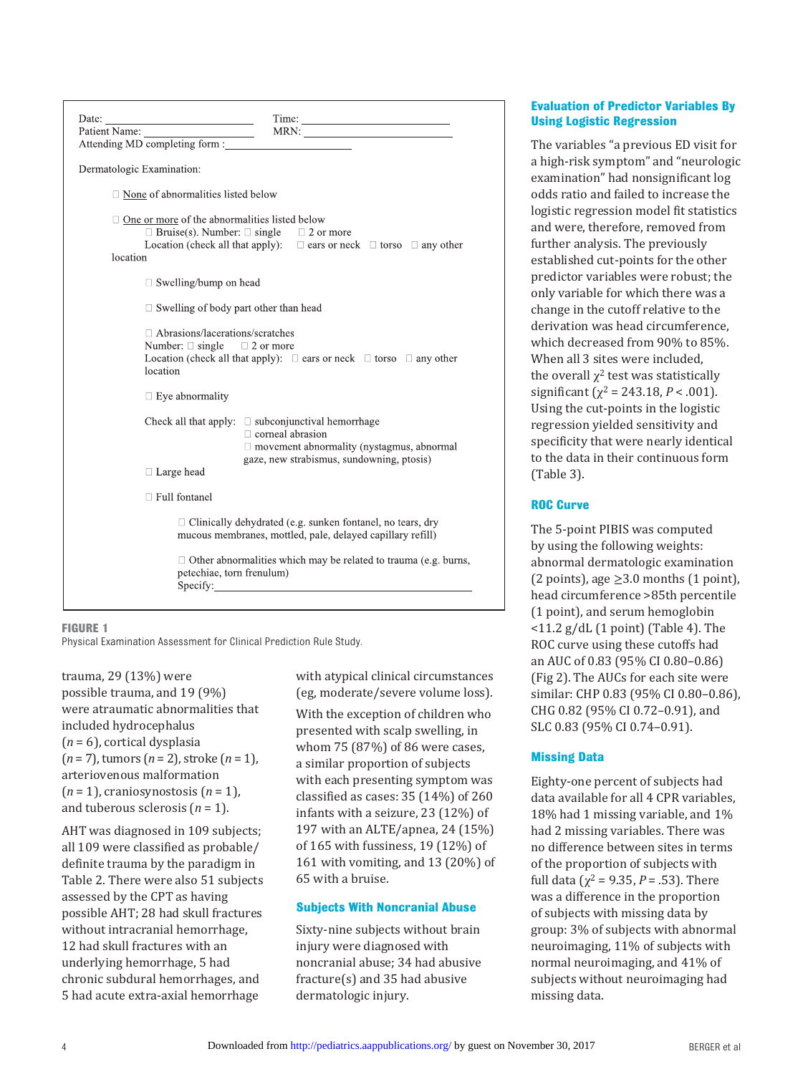| Date: $\qquad \qquad$<br>MRN:                                                                                                                                                                                         |
|-----------------------------------------------------------------------------------------------------------------------------------------------------------------------------------------------------------------------|
| Dermatologic Examination:                                                                                                                                                                                             |
| $\Box$ None of abnormalities listed below                                                                                                                                                                             |
| $\Box$ One or more of the abnormalities listed below<br>$\Box$ Bruise(s). Number: $\Box$ single $\Box$ 2 or more<br>Location (check all that apply):<br>$\Box$ ears or neck $\Box$ torso $\Box$ any other<br>location |
| $\Box$ Swelling/bump on head                                                                                                                                                                                          |
| $\Box$ Swelling of body part other than head                                                                                                                                                                          |
| $\Box$ Abrasions/lacerations/scratches<br>Number: $\Box$ single $\Box$ 2 or more<br>Location (check all that apply): $\Box$ ears or neck $\Box$ torso $\Box$ any other<br>location                                    |
| $\Box$ Eye abnormality                                                                                                                                                                                                |
| Check all that apply: $\Box$ subconjunctival hemorrhage<br>$\Box$ corneal abrasion<br>$\Box$ movement abnormality (nystagmus, abnormal<br>gaze, new strabismus, sundowning, ptosis)<br>$\Box$ Large head              |
| $\Box$ Full fontanel                                                                                                                                                                                                  |
| $\Box$ Clinically dehydrated (e.g. sunken fontanel, no tears, dry<br>mucous membranes, mottled, pale, delayed capillary refill)                                                                                       |
| $\Box$ Other abnormalities which may be related to trauma (e.g. burns,<br>petechiae, torn frenulum)                                                                                                                   |

#### **FIGURE 1**

Physical Examination Assessment for Clinical Prediction Rule Study.

trauma, 29 (13%) were possible trauma, and 19 (9%) were atraumatic abnormalities that included hydrocephalus (*n* = 6), cortical dysplasia (*n* = 7), tumors (*n* = 2), stroke (*n* = 1), arteriovenous malformation (*n* = 1), craniosynostosis (*n* = 1), and tuberous sclerosis (*n* = 1).

AHT was diagnosed in 109 subjects; all 109 were classified as probable/ definite trauma by the paradigm in Table 2. There were also 51 subjects assessed by the CPT as having possible AHT; 28 had skull fractures without intracranial hemorrhage, 12 had skull fractures with an underlying hemorrhage, 5 had chronic subdural hemorrhages, and 5 had acute extra-axial hemorrhage

with atypical clinical circumstances (eg, moderate/severe volume loss).

With the exception of children who presented with scalp swelling, in whom 75 (87%) of 86 were cases, a similar proportion of subjects with each presenting symptom was classified as cases: 35 (14%) of 260 infants with a seizure, 23 (12%) of 197 with an ALTE/apnea, 24 (15%) of 165 with fussiness, 19 (12%) of 161 with vomiting, and 13 (20%) of 65 with a bruise.

#### **Subjects With Noncranial Abuse**

Sixty-nine subjects without brain injury were diagnosed with noncranial abuse; 34 had abusive fracture(s) and 35 had abusive dermatologic injury.

#### **Evaluation of Predictor Variables By Using Logistic Regression**

The variables "a previous ED visit for a high-risk symptom" and "neurologic examination" had nonsignificant log odds ratio and failed to increase the logistic regression model fit statistics and were, therefore, removed from further analysis. The previously established cut-points for the other predictor variables were robust; the only variable for which there was a change in the cutoff relative to the derivation was head circumference, which decreased from 90% to 85%. When all 3 sites were included, the overall  $\gamma^2$  test was statistically significant ( $\chi^2$  = 243.18, *P* < .001). Using the cut-points in the logistic regression yielded sensitivity and specificity that were nearly identical to the data in their continuous form (Table 3).

#### **ROC Curve**

The 5-point PIBIS was computed by using the following weights: abnormal dermatologic examination (2 points), age  $\geq$  3.0 months (1 point), head circumference >85th percentile (1 point), and serum hemoglobin  $\langle 11.2 \text{ g}/\text{d}L (1 \text{ point})$  (Table 4). The ROC curve using these cutoffs had an AUC of 0.83 (95% CI 0.80–0.86) (Fig 2). The AUCs for each site were similar: CHP 0.83 (95% CI 0.80–0.86), CHG 0.82 (95% CI 0.72–0.91), and SLC 0.83 (95% CI 0.74–0.91).

#### **Missing Data**

Eighty-one percent of subjects had data available for all 4 CPR variables, 18% had 1 missing variable, and 1% had 2 missing variables. There was no difference between sites in terms of the proportion of subjects with full data ( $χ$ <sup>2</sup> = 9.35, *P* = .53). There was a difference in the proportion of subjects with missing data by group: 3% of subjects with abnormal neuroimaging, 11% of subjects with normal neuroimaging, and 41% of subjects without neuroimaging had missing data.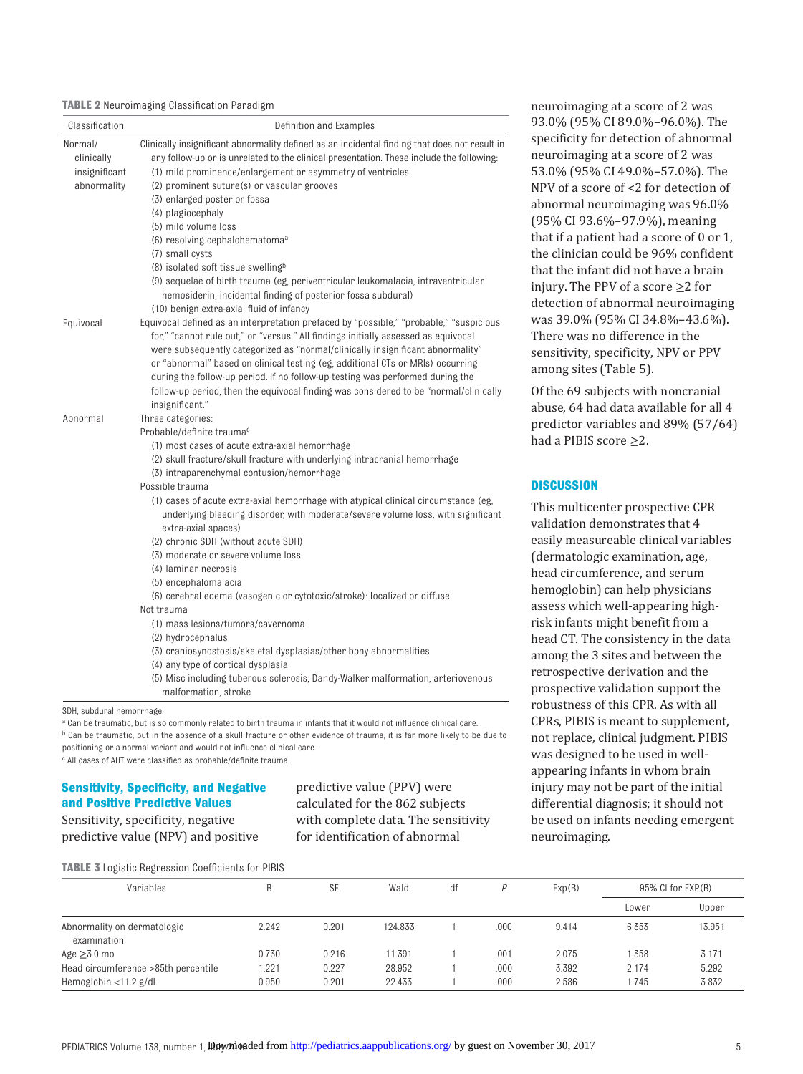#### **TABLE 2** Neuroimaging Classification Paradigm

| Classification        | Definition and Examples                                                                                                                                                                       |
|-----------------------|-----------------------------------------------------------------------------------------------------------------------------------------------------------------------------------------------|
| Normal/<br>clinically | Clinically insignificant abnormality defined as an incidental finding that does not result in<br>any follow-up or is unrelated to the clinical presentation. These include the following:     |
| insignificant         | (1) mild prominence/enlargement or asymmetry of ventricles                                                                                                                                    |
| abnormality           | (2) prominent suture(s) or vascular grooves                                                                                                                                                   |
|                       | (3) enlarged posterior fossa                                                                                                                                                                  |
|                       | (4) plagiocephaly                                                                                                                                                                             |
|                       | (5) mild volume loss                                                                                                                                                                          |
|                       | (6) resolving cephalohematoma <sup>a</sup>                                                                                                                                                    |
|                       | (7) small cysts                                                                                                                                                                               |
|                       | (8) isolated soft tissue swelling <sup>b</sup>                                                                                                                                                |
|                       | (9) sequelae of birth trauma (eg, periventricular leukomalacia, intraventricular<br>hemosiderin, incidental finding of posterior fossa subdural)                                              |
|                       | (10) benign extra-axial fluid of infancy                                                                                                                                                      |
| Equivocal             | Equivocal defined as an interpretation prefaced by "possible," "probable," "suspicious<br>for," "cannot rule out," or "versus." All findings initially assessed as equivocal                  |
|                       | were subsequently categorized as "normal/clinically insignificant abnormality"                                                                                                                |
|                       | or "abnormal" based on clinical testing (eg, additional CTs or MRIs) occurring                                                                                                                |
|                       | during the follow-up period. If no follow-up testing was performed during the                                                                                                                 |
|                       | follow-up period, then the equivocal finding was considered to be "normal/clinically                                                                                                          |
|                       | insignificant."                                                                                                                                                                               |
| Abnormal              | Three categories:                                                                                                                                                                             |
|                       | Probable/definite trauma <sup>c</sup>                                                                                                                                                         |
|                       | (1) most cases of acute extra-axial hemorrhage                                                                                                                                                |
|                       | (2) skull fracture/skull fracture with underlying intracranial hemorrhage                                                                                                                     |
|                       | (3) intraparenchymal contusion/hemorrhage                                                                                                                                                     |
|                       | Possible trauma                                                                                                                                                                               |
|                       | (1) cases of acute extra-axial hemorrhage with atypical clinical circumstance (eg,<br>underlying bleeding disorder, with moderate/severe volume loss, with significant<br>extra-axial spaces) |
|                       | (2) chronic SDH (without acute SDH)                                                                                                                                                           |
|                       | (3) moderate or severe volume loss                                                                                                                                                            |
|                       | (4) laminar necrosis                                                                                                                                                                          |
|                       | (5) encephalomalacia                                                                                                                                                                          |
|                       | (6) cerebral edema (vasogenic or cytotoxic/stroke): localized or diffuse                                                                                                                      |
|                       | Not trauma                                                                                                                                                                                    |
|                       | (1) mass lesions/tumors/cavernoma                                                                                                                                                             |
|                       | (2) hydrocephalus                                                                                                                                                                             |
|                       | (3) craniosynostosis/skeletal dysplasias/other bony abnormalities                                                                                                                             |
|                       | (4) any type of cortical dysplasia                                                                                                                                                            |
|                       | (5) Misc including tuberous sclerosis, Dandy-Walker malformation, arteriovenous                                                                                                               |
|                       | malformation, stroke                                                                                                                                                                          |

Can be traumatic, but is so commonly related to birth trauma in infants that it would not influence clinical care.

b Can be traumatic, but in the absence of a skull fracture or other evidence of trauma, it is far more likely to be due to positioning or a normal variant and would not influence clinical care.

 $c$  All cases of AHT were classified as probable/definite trauma.

#### **Sensitivity, Specificity, and Negative and Positive Predictive Values** Sensitivity, specificity, negative

predictive value (NPV) and positive

predictive value (PPV) were calculated for the 862 subjects with complete data. The sensitivity for identification of abnormal

#### neuroimaging at a score of 2 was 93.0% (95% CI 89.0%–96.0%). The specificity for detection of abnormal neuroimaging at a score of 2 was 53.0% (95% CI 49.0%–57.0%). The NPV of a score of <2 for detection of abnormal neuroimaging was 96.0% (95% CI 93.6%–97.9%), meaning that if a patient had a score of 0 or 1, the clinician could be 96% confident that the infant did not have a brain injury. The PPV of a score  $\geq$  2 for detection of abnormal neuroimaging was 39.0% (95% CI 34.8%–43.6%). There was no difference in the sensitivity, specificity, NPV or PPV among sites (Table 5).

Of the 69 subjects with noncranial abuse, 64 had data available for all 4 predictor variables and 89% (57/64) had a PIBIS score ≥2.

#### **DISCUSSION**

This multicenter prospective CPR validation demonstrates that 4 easily measureable clinical variables (dermatologic examination, age, head circumference, and serum hemoglobin) can help physicians assess which well-appearing highrisk infants might benefit from a head CT. The consistency in the data among the 3 sites and between the retrospective derivation and the prospective validation support the robustness of this CPR. As with all CPRs, PIBIS is meant to supplement, not replace, clinical judgment. PIBIS was designed to be used in wellappearing infants in whom brain injury may not be part of the initial differential diagnosis; it should not be used on infants needing emergent neuroimaging.

#### TABLE 3 Logistic Regression Coefficients for PIBIS

| Variables                                  |       | <b>SE</b> | Wald    | df | D    | Exp(B) | 95% CI for EXP(B) |        |
|--------------------------------------------|-------|-----------|---------|----|------|--------|-------------------|--------|
|                                            |       |           |         |    |      |        | Lower             | Upper  |
| Abnormality on dermatologic<br>examination | 2.242 | 0.201     | 124.833 |    | .000 | 9.414  | 6.353             | 13.951 |
| Age $\geq$ 3.0 mo                          | 0.730 | 0.216     | 11.391  |    | .001 | 2.075  | .358              | 3.171  |
| Head circumference >85th percentile        | 1.221 | 0.227     | 28.952  |    | .000 | 3.392  | 2.174             | 5.292  |
| Hemoglobin $<$ 11.2 g/dL                   | 0.950 | 0.201     | 22.433  |    | .000 | 2.586  | .745              | 3.832  |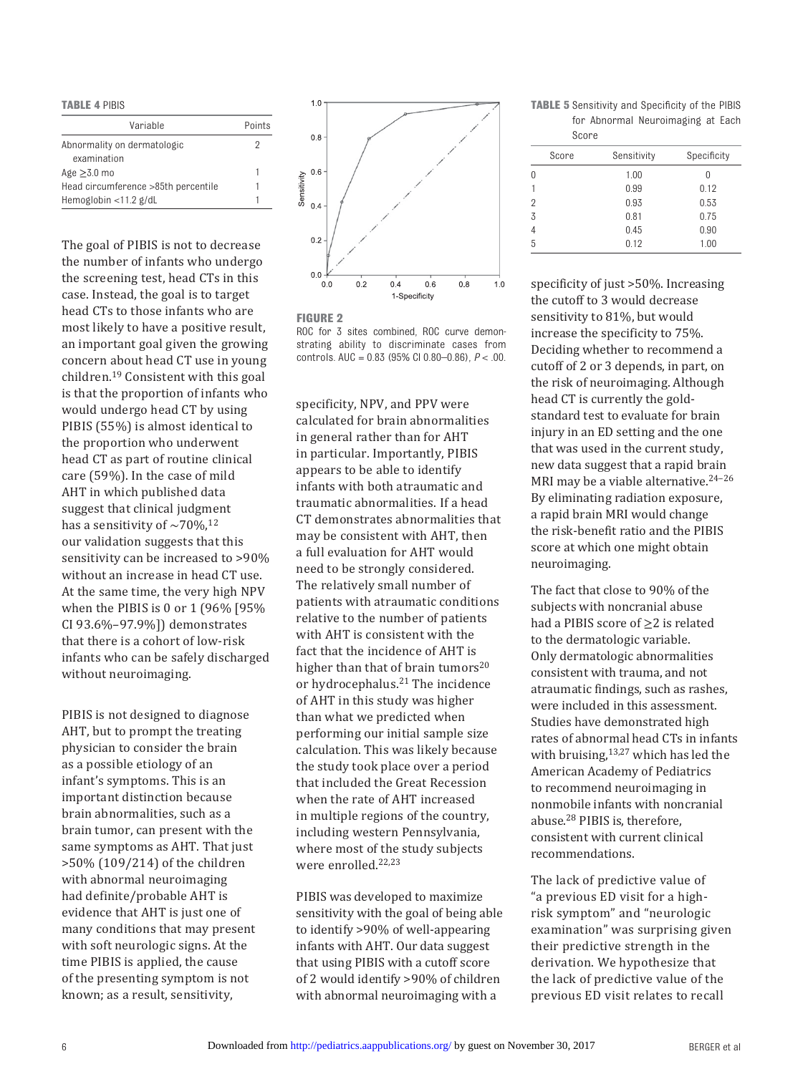**TABLE 4** PIBIS

| Variable                            | Points |
|-------------------------------------|--------|
| Abnormality on dermatologic         | 2      |
| examination                         |        |
| Age $\geq$ 3.0 mo                   | 1      |
| Head circumference >85th percentile | 1      |
| Hemoglobin $<$ 11.2 g/dL            |        |

The goal of PIBIS is not to decrease the number of infants who undergo the screening test, head CTs in this case. Instead, the goal is to target head CTs to those infants who are most likely to have a positive result, an important goal given the growing concern about head CT use in young children.19 Consistent with this goal is that the proportion of infants who would undergo head CT by using PIBIS (55%) is almost identical to the proportion who underwent head CT as part of routine clinical care (59%). In the case of mild AHT in which published data suggest that clinical judgment has a sensitivity of ∼70%, 12 our validation suggests that this sensitivity can be increased to >90% without an increase in head CT use. At the same time, the very high NPV when the PIBIS is 0 or 1 (96% [95% CI 93.6%–97.9%]) demonstrates that there is a cohort of low-risk infants who can be safely discharged without neuroimaging.

PIBIS is not designed to diagnose AHT, but to prompt the treating physician to consider the brain as a possible etiology of an infant's symptoms. This is an important distinction because brain abnormalities, such as a brain tumor, can present with the same symptoms as AHT. That just >50% (109/214) of the children with abnormal neuroimaging had definite/probable AHT is evidence that AHT is just one of many conditions that may present with soft neurologic signs. At the time PIBIS is applied, the cause of the presenting symptom is not known; as a result, sensitivity,





ROC for 3 sites combined, ROC curve demonstrating ability to discriminate cases from controls. AUC = 0.83 (95% CI 0.80–0.86), *P* < .00.

specificity, NPV, and PPV were calculated for brain abnormalities in general rather than for AHT in particular. Importantly, PIBIS appears to be able to identify infants with both atraumatic and traumatic abnormalities. If a head CT demonstrates abnormalities that may be consistent with AHT, then a full evaluation for AHT would need to be strongly considered. The relatively small number of patients with atraumatic conditions relative to the number of patients with AHT is consistent with the fact that the incidence of AHT is higher than that of brain tumors<sup>20</sup> or hydrocephalus.21 The incidence of AHT in this study was higher than what we predicted when performing our initial sample size calculation. This was likely because the study took place over a period that included the Great Recession when the rate of AHT increased in multiple regions of the country, including western Pennsylvania, where most of the study subjects were enrolled.<sup>22,23</sup>

PIBIS was developed to maximize sensitivity with the goal of being able to identify >90% of well-appearing infants with AHT. Our data suggest that using PIBIS with a cutoff score of 2 would identify >90% of children with abnormal neuroimaging with a

**TABLE 5** Sensitivity and Specificity of the PIBIS for Abnormal Neuroimaging at Each Score

| UUU U          |             |             |
|----------------|-------------|-------------|
| Score          | Sensitivity | Specificity |
| 0              | 1.00        | O           |
|                | 0.99        | 0.12        |
| $\overline{2}$ | 0.93        | 0.53        |
| 3              | 0.81        | 0.75        |
| 4              | 0.45        | 0.90        |
| 5              | 0.12        | 1.00        |

specificity of just >50%. Increasing the cutoff to 3 would decrease sensitivity to 81%, but would increase the specificity to 75%. Deciding whether to recommend a cutoff of 2 or 3 depends, in part, on the risk of neuroimaging. Although head CT is currently the goldstandard test to evaluate for brain injury in an ED setting and the one that was used in the current study, new data suggest that a rapid brain MRI may be a viable alternative.<sup>24-26</sup> By eliminating radiation exposure, a rapid brain MRI would change the risk-benefit ratio and the PIBIS score at which one might obtain neuroimaging.

The fact that close to 90% of the subjects with noncranial abuse had a PIBIS score of ≥2 is related to the dermatologic variable. Only dermatologic abnormalities consistent with trauma, and not atraumatic findings, such as rashes, were included in this assessment. Studies have demonstrated high rates of abnormal head CTs in infants with bruising, $13,27$  which has led the American Academy of Pediatrics to recommend neuroimaging in nonmobile infants with noncranial abuse.28 PIBIS is, therefore, consistent with current clinical recommendations.

The lack of predictive value of "a previous ED visit for a highrisk symptom" and "neurologic examination" was surprising given their predictive strength in the derivation. We hypothesize that the lack of predictive value of the previous ED visit relates to recall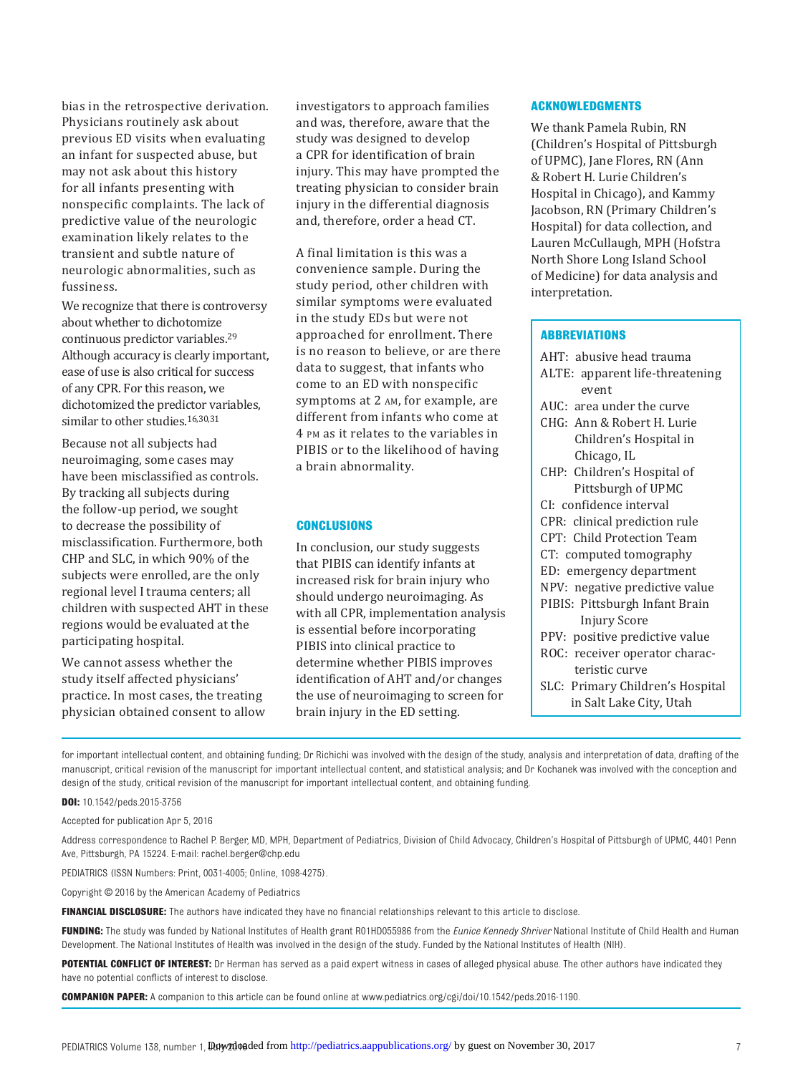bias in the retrospective derivation. Physicians routinely ask about previous ED visits when evaluating an infant for suspected abuse, but may not ask about this history for all infants presenting with nonspecific complaints. The lack of predictive value of the neurologic examination likely relates to the transient and subtle nature of neurologic abnormalities, such as fussiness.

We recognize that there is controversy about whether to dichotomize continuous predictor variables.29 Although accuracy is clearly important, ease of use is also critical for success of any CPR. For this reason, we dichotomized the predictor variables, similar to other studies.<sup>16, 30, 31</sup>

Because not all subjects had neuroimaging, some cases may have been misclassified as controls. By tracking all subjects during the follow-up period, we sought to decrease the possibility of misclassification. Furthermore, both CHP and SLC, in which 90% of the subjects were enrolled, are the only regional level I trauma centers; all children with suspected AHT in these regions would be evaluated at the participating hospital.

We cannot assess whether the study itself affected physicians' practice. In most cases, the treating physician obtained consent to allow investigators to approach families and was, therefore, aware that the study was designed to develop a CPR for identification of brain injury. This may have prompted the treating physician to consider brain injury in the differential diagnosis and, therefore, order a head CT.

A final limitation is this was a convenience sample. During the study period, other children with similar symptoms were evaluated in the study EDs but were not approached for enrollment. There is no reason to believe, or are there data to suggest, that infants who come to an ED with nonspecific symptoms at 2 AM, for example, are different from infants who come at 4 PM as it relates to the variables in PIBIS or to the likelihood of having a brain abnormality.

#### **CONCLUSIONS**

In conclusion, our study suggests that PIBIS can identify infants at increased risk for brain injury who should undergo neuroimaging. As with all CPR, implementation analysis is essential before incorporating PIBIS into clinical practice to determine whether PIBIS improves identification of AHT and/or changes the use of neuroimaging to screen for brain injury in the ED setting.

#### **ACKNOWLEDGMENTS**

We thank Pamela Rubin, RN (Children's Hospital of Pittsburgh of UPMC), Jane Flores, RN (Ann & Robert H. Lurie Children's Hospital in Chicago), and Kammy Jacobson, RN (Primary Children's Hospital) for data collection, and Lauren McCullaugh, MPH (Hofstra North Shore Long Island School of Medicine) for data analysis and interpretation.

#### **ABBREVIATIONS**

AHT: abusive head trauma ALTE: apparent life-threatening event AUC: area under the curve CHG: Ann & Robert H. Lurie Children's Hospital in Chicago, IL CHP: Children's Hospital of

- Pittsburgh of UPMC
- CI: confidence interval
- CPR: clinical prediction rule CPT: Child Protection Team
- CT: computed tomography
- ED: emergency department
- NPV: negative predictive value
- PIBIS: Pittsburgh Infant Brain
	- Injury Score
- PPV: positive predictive value
- ROC: receiver operator characteristic curve
- SLC: Primary Children's Hospital in Salt Lake City, Utah

for important intellectual content, and obtaining funding; Dr Richichi was involved with the design of the study, analysis and interpretation of data, drafting of the manuscript, critical revision of the manuscript for important intellectual content, and statistical analysis; and Dr Kochanek was involved with the conception and design of the study, critical revision of the manuscript for important intellectual content, and obtaining funding.

**DOI:** 10.1542/peds.2015-3756

Accepted for publication Apr 5, 2016

 Address correspondence to Rachel P. Berger, MD, MPH, Department of Pediatrics, Division of Child Advocacy, Children's Hospital of Pittsburgh of UPMC, 4401 Penn Ave, Pittsburgh, PA 15224. E-mail: rachel.berger@chp.edu

PEDIATRICS (ISSN Numbers: Print, 0031-4005; Online, 1098-4275).

Copyright © 2016 by the American Academy of Pediatrics

FINANCIAL DISCLOSURE: The authors have indicated they have no financial relationships relevant to this article to disclose.

**FUNDING:** The study was funded by National Institutes of Health grant R01HD055986 from the *Eunice Kennedy Shriver* National Institute of Child Health and Human Development. The National Institutes of Health was involved in the design of the study. Funded by the National Institutes of Health (NIH).

**POTENTIAL CONFLICT OF INTEREST:** Dr Herman has served as a paid expert witness in cases of alleged physical abuse. The other authors have indicated they have no potential conflicts of interest to disclose.

**COMPANION PAPER:** A companion to this article can be found online at www.pediatrics.org/cgi/doi/10.1542/peds.2016-1190.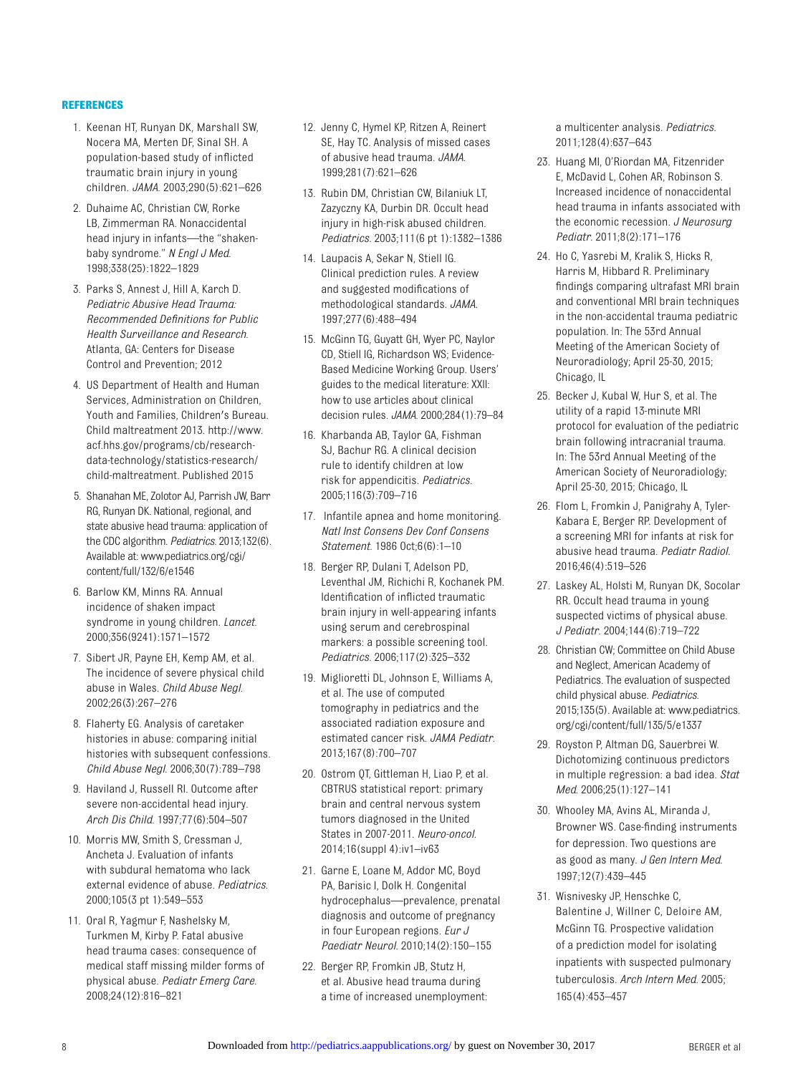#### **REFERENCES**

- 1. Keenan HT, Runyan DK, Marshall SW, Nocera MA, Merten DF, Sinal SH. A population-based study of inflicted traumatic brain injury in young children. *JAMA*. 2003;290(5):621–626
- 2. Duhaime AC, Christian CW, Rorke LB, Zimmerman RA. Nonaccidental head injury in infants—the "shakenbaby syndrome." *N Engl J Med*. 1998;338(25):1822–1829
- 3. Parks S, Annest J, Hill A, Karch D. *Pediatric Abusive Head Trauma: Recommended Defi nitions for Public Health Surveillance and Research*. Atlanta, GA: Centers for Disease Control and Prevention; 2012
- 4. US Department of Health and Human Services, Administration on Children, Youth and Families, Children's Bureau. Child maltreatment 2013. http:// www. acf. hhs. gov/ programs/ cb/ researchdata-technology/statistics-research/ child-maltreatment. Published 2015
- 5. Shanahan ME, Zolotor AJ, Parrish JW, Barr RG, Runyan DK. National, regional, and state abusive head trauma: application of the CDC algorithm. *Pediatrics*. 2013;132(6). Available at: www.pediatrics.org/cgi/ content/full/132/6/e1546
- 6. Barlow KM, Minns RA. Annual incidence of shaken impact syndrome in young children. *Lancet*. 2000;356(9241):1571–1572
- 7. Sibert JR, Payne EH, Kemp AM, et al. The incidence of severe physical child abuse in Wales. *Child Abuse Negl*. 2002;26(3):267–276
- 8. Flaherty EG. Analysis of caretaker histories in abuse: comparing initial histories with subsequent confessions. *Child Abuse Negl*. 2006;30(7):789–798
- 9. Haviland J, Russell RI. Outcome after severe non-accidental head injury. *Arch Dis Child*. 1997;77(6):504–507
- 10. Morris MW, Smith S, Cressman J, Ancheta J. Evaluation of infants with subdural hematoma who lack external evidence of abuse. *Pediatrics*. 2000;105(3 pt 1):549–553
- 11. Oral R, Yagmur F, Nashelsky M, Turkmen M, Kirby P. Fatal abusive head trauma cases: consequence of medical staff missing milder forms of physical abuse. *Pediatr Emerg Care*. 2008;24(12):816–821
- 12. Jenny C, Hymel KP, Ritzen A, Reinert SE, Hay TC. Analysis of missed cases of abusive head trauma. *JAMA*. 1999;281(7):621–626
- 13. Rubin DM, Christian CW, Bilaniuk LT, Zazyczny KA, Durbin DR. Occult head injury in high-risk abused children. *Pediatrics*. 2003;111(6 pt 1):1382–1386
- 14. Laupacis A, Sekar N, Stiell IG. Clinical prediction rules. A review and suggested modifications of methodological standards. *JAMA*. 1997;277(6):488–494
- 15. McGinn TG, Guyatt GH, Wyer PC, Naylor CD, Stiell IG, Richardson WS; Evidence-Based Medicine Working Group. Users' guides to the medical literature: XXII: how to use articles about clinical decision rules. *JAMA*. 2000;284(1):79–84
- 16. Kharbanda AB, Taylor GA, Fishman SJ, Bachur RG. A clinical decision rule to identify children at low risk for appendicitis. *Pediatrics*. 2005;116(3):709–716
- 17. Infantile apnea and home monitoring. *Natl Inst Consens Dev Conf Consens Statement*. 1986 Oct;6(6):1–10
- 18. Berger RP, Dulani T, Adelson PD, Leventhal JM, Richichi R, Kochanek PM. Identification of inflicted traumatic brain injury in well-appearing infants using serum and cerebrospinal markers: a possible screening tool. *Pediatrics*. 2006;117(2):325–332
- 19. Miglioretti DL, Johnson E, Williams A, et al. The use of computed tomography in pediatrics and the associated radiation exposure and estimated cancer risk. *JAMA Pediatr*. 2013;167(8):700–707
- 20. Ostrom QT, Gittleman H, Liao P, et al. CBTRUS statistical report: primary brain and central nervous system tumors diagnosed in the United States in 2007-2011. *Neuro-oncol*. 2014;16(suppl 4):iv1–iv63
- 21. Garne E, Loane M, Addor MC, Boyd PA, Barisic I, Dolk H. Congenital hydrocephalus—prevalence, prenatal diagnosis and outcome of pregnancy in four European regions. *Eur J Paediatr Neurol*. 2010;14(2):150–155
- 22. Berger RP, Fromkin JB, Stutz H, et al. Abusive head trauma during a time of increased unemployment:

a multicenter analysis. *Pediatrics*. 2011;128(4):637–643

- 23. Huang MI, O'Riordan MA, Fitzenrider E, McDavid L, Cohen AR, Robinson S. Increased incidence of nonaccidental head trauma in infants associated with the economic recession. *J Neurosurg Pediatr*. 2011;8(2):171–176
- 24. Ho C, Yasrebi M, Kralik S, Hicks R, Harris M, Hibbard R. Preliminary findings comparing ultrafast MRI brain and conventional MRI brain techniques in the non-accidental trauma pediatric population. In: The 53rd Annual Meeting of the American Society of Neuroradiology; April 25-30, 2015; Chicago, IL
- 25. Becker J, Kubal W, Hur S, et al. The utility of a rapid 13-minute MRI protocol for evaluation of the pediatric brain following intracranial trauma. In: The 53rd Annual Meeting of the American Society of Neuroradiology; April 25-30, 2015; Chicago, IL
- 26. Flom L, Fromkin J, Panigrahy A, Tyler-Kabara E, Berger RP. Development of a screening MRI for infants at risk for abusive head trauma. *Pediatr Radiol*. 2016;46(4):519–526
- 27. Laskey AL, Holsti M, Runyan DK, Socolar RR. Occult head trauma in young suspected victims of physical abuse. *J Pediatr*. 2004;144(6):719–722
- 28. Christian CW; Committee on Child Abuse and Neglect, American Academy of Pediatrics. The evaluation of suspected child physical abuse. *Pediatrics*. 2015;135(5). Available at: www. pediatrics. org/ cgi/ content/ full / 135/ 5/ e1337
- 29. Royston P, Altman DG, Sauerbrei W. Dichotomizing continuous predictors in multiple regression: a bad idea. *Stat Med*. 2006;25(1):127–141
- 30. Whooley MA, Avins AL, Miranda J, Browner WS. Case-finding instruments for depression. Two questions are as good as many. *J Gen Intern Med*. 1997;12(7):439–445
- 31. Wisnivesky JP, Henschke C, Balentine J, Willner C, Deloire AM, McGinn TG. Prospective validation of a prediction model for isolating inpatients with suspected pulmonary tuberculosis. *Arch Intern Med*. 2005; 165(4):453–457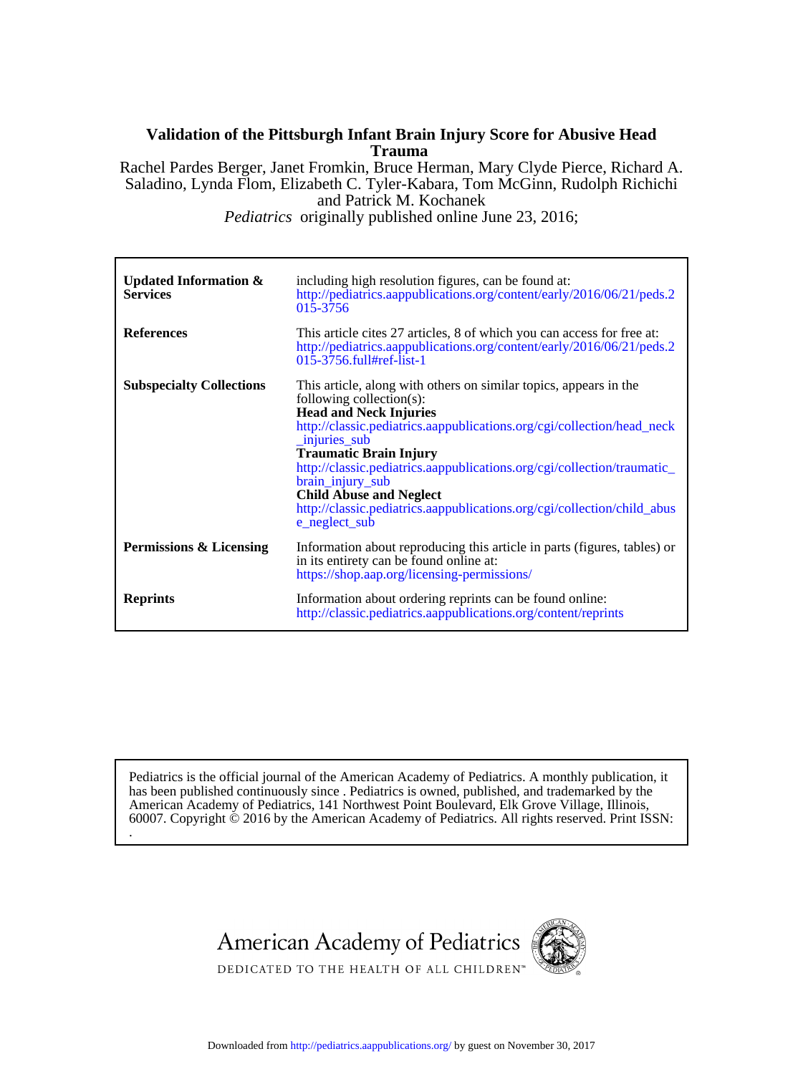### **Trauma Validation of the Pittsburgh Infant Brain Injury Score for Abusive Head**

and Patrick M. Kochanek Saladino, Lynda Flom, Elizabeth C. Tyler-Kabara, Tom McGinn, Rudolph Richichi Rachel Pardes Berger, Janet Fromkin, Bruce Herman, Mary Clyde Pierce, Richard A.

*Pediatrics* originally published online June 23, 2016;

| Updated Information $\&$<br><b>Services</b> | including high resolution figures, can be found at:<br>http://pediatrics.aappublications.org/content/early/2016/06/21/peds.2<br>015-3756                                                                                                                                                                                                                                                                                                                                                    |
|---------------------------------------------|---------------------------------------------------------------------------------------------------------------------------------------------------------------------------------------------------------------------------------------------------------------------------------------------------------------------------------------------------------------------------------------------------------------------------------------------------------------------------------------------|
| <b>References</b>                           | This article cites 27 articles, 8 of which you can access for free at:<br>http://pediatrics.aappublications.org/content/early/2016/06/21/peds.2<br>015-3756.full#ref-list-1                                                                                                                                                                                                                                                                                                                 |
| <b>Subspecialty Collections</b>             | This article, along with others on similar topics, appears in the<br>following collection $(s)$ :<br><b>Head and Neck Injuries</b><br>http://classic.pediatrics.aappublications.org/cgi/collection/head_neck<br>_injuries_sub<br><b>Traumatic Brain Injury</b><br>http://classic.pediatrics.aappublications.org/cgi/collection/traumatic_<br>brain_injury_sub<br><b>Child Abuse and Neglect</b><br>http://classic.pediatrics.aappublications.org/cgi/collection/child_abus<br>e neglect sub |
| Permissions & Licensing                     | Information about reproducing this article in parts (figures, tables) or<br>in its entirety can be found online at:<br>https://shop.aap.org/licensing-permissions/                                                                                                                                                                                                                                                                                                                          |
| <b>Reprints</b>                             | Information about ordering reprints can be found online:<br>http://classic.pediatrics.aappublications.org/content/reprints                                                                                                                                                                                                                                                                                                                                                                  |

. 60007. Copyright © 2016 by the American Academy of Pediatrics. All rights reserved. Print ISSN: American Academy of Pediatrics, 141 Northwest Point Boulevard, Elk Grove Village, Illinois, has been published continuously since . Pediatrics is owned, published, and trademarked by the Pediatrics is the official journal of the American Academy of Pediatrics. A monthly publication, it